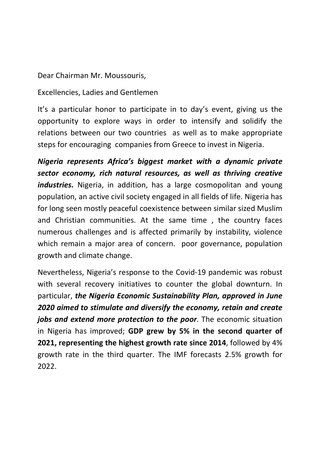Dear Chairman Mr. Moussouris,

Excellencies, Ladies and Gentlemen

It's a particular honor to participate in to day's event, giving us the opportunity to explore ways in order to intensify and solidify the relations between our two countries as well as to make appropriate steps for encouraging companies from Greece to invest in Nigeria.

Nigeria represents Africa's biggest market with a dynamic private sector economy, rich natural resources, as well as thriving creative industries. Nigeria, in addition, has a large cosmopolitan and young population, an active civil society engaged in all fields of life. Nigeria has for long seen mostly peaceful coexistence between similar sized Muslim and Christian communities. At the same time , the country faces numerous challenges and is affected primarily by instability, violence which remain a major area of concern. poor governance, population growth and climate change.

Nevertheless, Nigeria's response to the Covid-19 pandemic was robust with several recovery initiatives to counter the global downturn. In particular, the Nigeria Economic Sustainability Plan, approved in June 2020 aimed to stimulate and diversify the economy, retain and create jobs and extend more protection to the poor. The economic situation in Nigeria has improved; GDP grew by 5% in the second quarter of 2021, representing the highest growth rate since 2014, followed by 4% growth rate in the third quarter. The IMF forecasts 2.5% growth for 2022.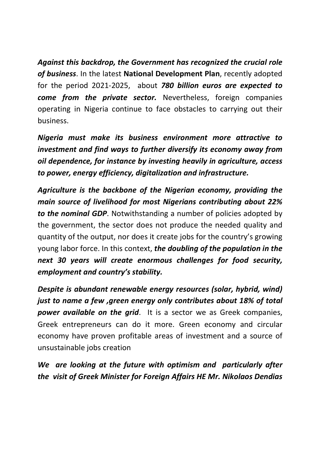Against this backdrop, the Government has recognized the crucial role of business. In the latest National Development Plan, recently adopted for the period 2021-2025, about 780 billion euros are expected to come from the private sector. Nevertheless, foreign companies operating in Nigeria continue to face obstacles to carrying out their business.

Nigeria must make its business environment more attractive to investment and find ways to further diversify its economy away from oil dependence, for instance by investing heavily in agriculture, access to power, energy efficiency, digitalization and infrastructure.

Agriculture is the backbone of the Nigerian economy, providing the main source of livelihood for most Nigerians contributing about 22% to the nominal GDP. Notwithstanding a number of policies adopted by the government, the sector does not produce the needed quality and quantity of the output, nor does it create jobs for the country's growing young labor force. In this context, the doubling of the population in the next 30 years will create enormous challenges for food security, employment and country's stability.

Despite is abundant renewable energy resources (solar, hybrid, wind) just to name a few ,green energy only contributes about 18% of total **power available on the grid.** It is a sector we as Greek companies, Greek entrepreneurs can do it more. Green economy and circular economy have proven profitable areas of investment and a source of unsustainable jobs creation

We are looking at the future with optimism and particularly after the visit of Greek Minister for Foreign Affairs HE Mr. Nikolaos Dendias